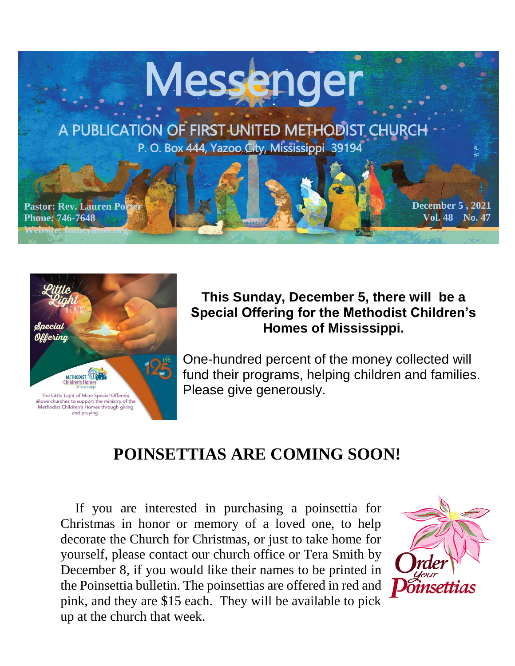



#### **This Sunday, December 5, there will be a Special Offering for the Methodist Children's Homes of Mississippi.**

One-hundred percent of the money collected will fund their programs, helping children and families. Please give generously.

## **POINSETTIAS ARE COMING SOON!**

 If you are interested in purchasing a poinsettia for Christmas in honor or memory of a loved one, to help decorate the Church for Christmas, or just to take home for yourself, please contact our church office or Tera Smith by December 8, if you would like their names to be printed in the Poinsettia bulletin. The poinsettias are offered in red and pink, and they are \$15 each. They will be available to pick up at the church that week.

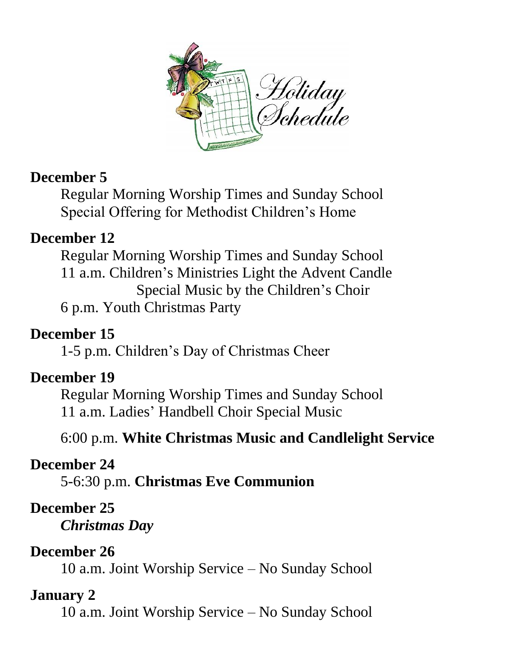

#### **December 5**

Regular Morning Worship Times and Sunday School Special Offering for Methodist Children's Home

#### **December 12**

Regular Morning Worship Times and Sunday School 11 a.m. Children's Ministries Light the Advent Candle Special Music by the Children's Choir 6 p.m. Youth Christmas Party

### **December 15**

1-5 p.m. Children's Day of Christmas Cheer

#### **December 19**

Regular Morning Worship Times and Sunday School 11 a.m. Ladies' Handbell Choir Special Music

6:00 p.m. **White Christmas Music and Candlelight Service**

#### **December 24**

5-6:30 p.m. **Christmas Eve Communion**

#### **December 25**

*Christmas Day*

#### **December 26**

10 a.m. Joint Worship Service – No Sunday School

#### **January 2**

10 a.m. Joint Worship Service – No Sunday School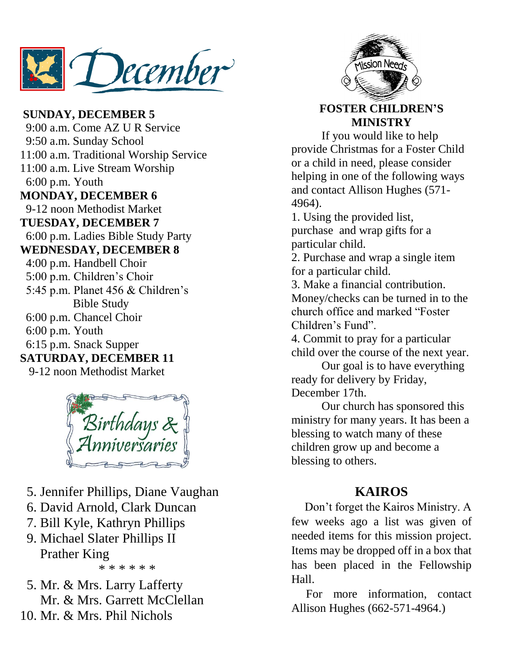December

**SUNDAY, DECEMBER 5** 9:00 a.m. Come AZ U R Service 9:50 a.m. Sunday School 11:00 a.m. Traditional Worship Service 11:00 a.m. Live Stream Worship 6:00 p.m. Youth **MONDAY, DECEMBER 6** 9-12 noon Methodist Market **TUESDAY, DECEMBER 7** 6:00 p.m. Ladies Bible Study Party **WEDNESDAY, DECEMBER 8** 4:00 p.m. Handbell Choir 5:00 p.m. Children's Choir 5:45 p.m. Planet 456 & Children's Bible Study 6:00 p.m. Chancel Choir 6:00 p.m. Youth 6:15 p.m. Snack Supper **SATURDAY, DECEMBER 11** 9-12 noon Methodist Market



- 5. Jennifer Phillips, Diane Vaughan
- 6. David Arnold, Clark Duncan
- 7. Bill Kyle, Kathryn Phillips
- 9. Michael Slater Phillips II Prather King \* \* \* \* \* \*
- 5. Mr. & Mrs. Larry Lafferty Mr. & Mrs. Garrett McClellan
- 10. Mr. & Mrs. Phil Nichols



#### **FOSTER CHILDREN'S MINISTRY**

If you would like to help provide Christmas for a Foster Child or a child in need, please consider helping in one of the following ways and contact Allison Hughes (571- 4964).

1. Using the provided list, purchase and wrap gifts for a particular child.

2. Purchase and wrap a single item for a particular child.

3. Make a financial contribution. Money/checks can be turned in to the church office and marked "Foster Children's Fund".

4. Commit to pray for a particular child over the course of the next year.

Our goal is to have everything ready for delivery by Friday, December 17th.

Our church has sponsored this ministry for many years. It has been a blessing to watch many of these children grow up and become a blessing to others.

#### **KAIROS**

 Don't forget the Kairos Ministry. A few weeks ago a list was given of needed items for this mission project. Items may be dropped off in a box that has been placed in the Fellowship Hall.

 For more information, contact Allison Hughes (662-571-4964.)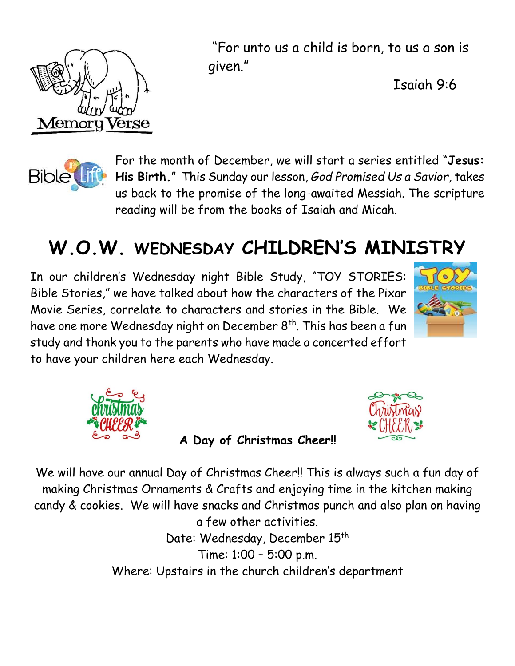

"For unto us a child is born, to us a son is given."

Isaiah 9:6

<u>April 11, 2021</u>



For the month of December, we will start a series entitled "**Jesus: His Birth.**" This Sunday our lesson, *God Promised Us a Savior,* takes us back to the promise of the long-awaited Messiah. The scripture reading will be from the books of Isaiah and Micah.

# **W.O.W. WEDNESDAY CHILDREN'S MINISTRY**

In our children's Wednesday night Bible Study, "TOY STORIES: Bible Stories," we have talked about how the characters of the Pixar Movie Series, correlate to characters and stories in the Bible. We have one more Wednesday night on December 8<sup>th</sup>. This has been a fun study and thank you to the parents who have made a concerted effort to have your children here each Wednesday.





 **A Day of Christmas Cheer!!** 



We will have our annual Day of Christmas Cheer!! This is always such a fun day of making Christmas Ornaments & Crafts and enjoying time in the kitchen making candy & cookies. We will have snacks and Christmas punch and also plan on having a few other activities. Date: Wednesday, December 15<sup>th</sup> Time: 1:00 – 5:00 p.m.

Where: Upstairs in the church children's department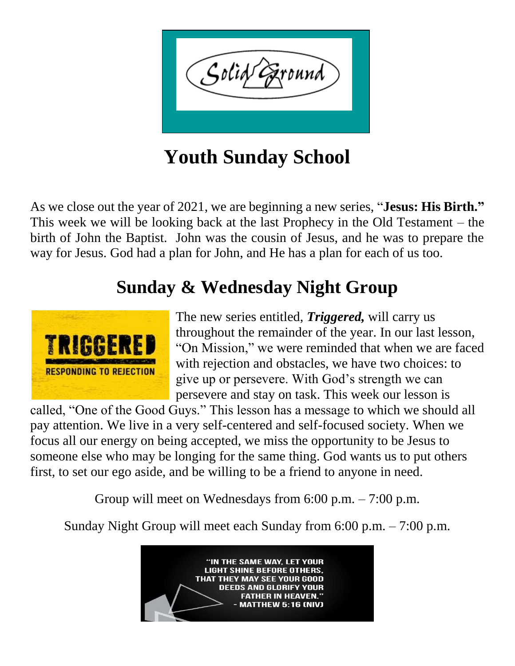

**Youth Sunday School**

As we close out the year of 2021, we are beginning a new series, "**Jesus: His Birth."**  This week we will be looking back at the last Prophecy in the Old Testament – the birth of John the Baptist. John was the cousin of Jesus, and he was to prepare the way for Jesus. God had a plan for John, and He has a plan for each of us too.

# **Sunday & Wednesday Night Group**



The new series entitled, *Triggered,* will carry us throughout the remainder of the year. In our last lesson, "On Mission," we were reminded that when we are faced with rejection and obstacles, we have two choices: to give up or persevere. With God's strength we can persevere and stay on task. This week our lesson is

called, "One of the Good Guys." This lesson has a message to which we should all pay attention. We live in a very self-centered and self-focused society. When we focus all our energy on being accepted, we miss the opportunity to be Jesus to someone else who may be longing for the same thing. God wants us to put others first, to set our ego aside, and be willing to be a friend to anyone in need.

Group will meet on Wednesdays from 6:00 p.m. – 7:00 p.m.

Sunday Night Group will meet each Sunday from 6:00 p.m. – 7:00 p.m.